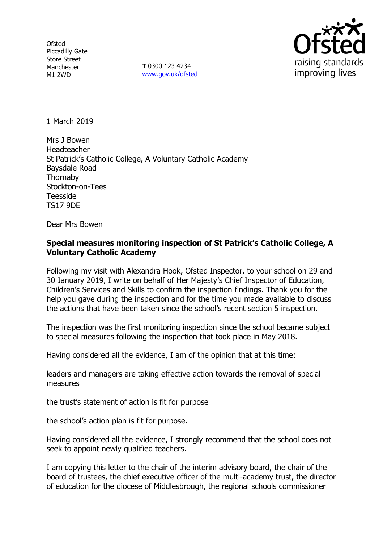**Ofsted** Piccadilly Gate Store Street Manchester M1 2WD

**T** 0300 123 4234 www.gov.uk/ofsted



1 March 2019

Mrs J Bowen Headteacher St Patrick's Catholic College, A Voluntary Catholic Academy Baysdale Road **Thornaby** Stockton-on-Tees Teesside TS17 9DE

Dear Mrs Bowen

# **Special measures monitoring inspection of St Patrick's Catholic College, A Voluntary Catholic Academy**

Following my visit with Alexandra Hook, Ofsted Inspector, to your school on 29 and 30 January 2019, I write on behalf of Her Majesty's Chief Inspector of Education, Children's Services and Skills to confirm the inspection findings. Thank you for the help you gave during the inspection and for the time you made available to discuss the actions that have been taken since the school's recent section 5 inspection.

The inspection was the first monitoring inspection since the school became subject to special measures following the inspection that took place in May 2018.

Having considered all the evidence, I am of the opinion that at this time:

leaders and managers are taking effective action towards the removal of special measures

the trust's statement of action is fit for purpose

the school's action plan is fit for purpose.

Having considered all the evidence, I strongly recommend that the school does not seek to appoint newly qualified teachers.

I am copying this letter to the chair of the interim advisory board, the chair of the board of trustees, the chief executive officer of the multi-academy trust, the director of education for the diocese of Middlesbrough, the regional schools commissioner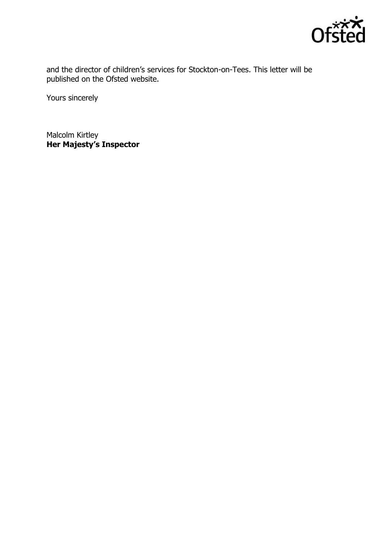

and the director of children's services for Stockton-on-Tees. This letter will be published on the Ofsted website.

Yours sincerely

Malcolm Kirtley **Her Majesty's Inspector**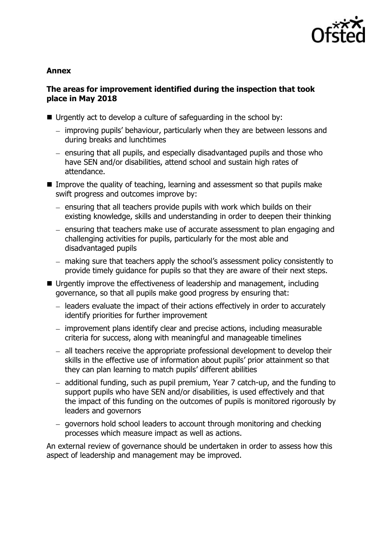

#### **Annex**

## **The areas for improvement identified during the inspection that took place in May 2018**

- Urgently act to develop a culture of safeguarding in the school by:
	- improving pupils' behaviour, particularly when they are between lessons and during breaks and lunchtimes
	- ensuring that all pupils, and especially disadvantaged pupils and those who have SEN and/or disabilities, attend school and sustain high rates of attendance.
- Improve the quality of teaching, learning and assessment so that pupils make swift progress and outcomes improve by:
	- $-$  ensuring that all teachers provide pupils with work which builds on their existing knowledge, skills and understanding in order to deepen their thinking
	- ensuring that teachers make use of accurate assessment to plan engaging and challenging activities for pupils, particularly for the most able and disadvantaged pupils
	- making sure that teachers apply the school's assessment policy consistently to provide timely guidance for pupils so that they are aware of their next steps.
- Urgently improve the effectiveness of leadership and management, including governance, so that all pupils make good progress by ensuring that:
	- leaders evaluate the impact of their actions effectively in order to accurately identify priorities for further improvement
	- improvement plans identify clear and precise actions, including measurable criteria for success, along with meaningful and manageable timelines
	- all teachers receive the appropriate professional development to develop their skills in the effective use of information about pupils' prior attainment so that they can plan learning to match pupils' different abilities
	- additional funding, such as pupil premium, Year 7 catch-up, and the funding to support pupils who have SEN and/or disabilities, is used effectively and that the impact of this funding on the outcomes of pupils is monitored rigorously by leaders and governors
	- governors hold school leaders to account through monitoring and checking processes which measure impact as well as actions.

An external review of governance should be undertaken in order to assess how this aspect of leadership and management may be improved.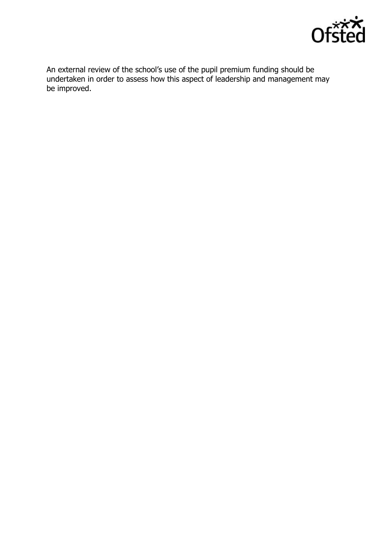

An external review of the school's use of the pupil premium funding should be undertaken in order to assess how this aspect of leadership and management may be improved.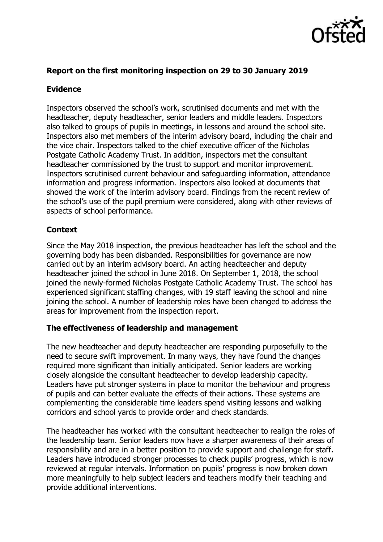

## **Report on the first monitoring inspection on 29 to 30 January 2019**

## **Evidence**

Inspectors observed the school's work, scrutinised documents and met with the headteacher, deputy headteacher, senior leaders and middle leaders. Inspectors also talked to groups of pupils in meetings, in lessons and around the school site. Inspectors also met members of the interim advisory board, including the chair and the vice chair. Inspectors talked to the chief executive officer of the Nicholas Postgate Catholic Academy Trust. In addition, inspectors met the consultant headteacher commissioned by the trust to support and monitor improvement. Inspectors scrutinised current behaviour and safeguarding information, attendance information and progress information. Inspectors also looked at documents that showed the work of the interim advisory board. Findings from the recent review of the school's use of the pupil premium were considered, along with other reviews of aspects of school performance.

# **Context**

Since the May 2018 inspection, the previous headteacher has left the school and the governing body has been disbanded. Responsibilities for governance are now carried out by an interim advisory board. An acting headteacher and deputy headteacher joined the school in June 2018. On September 1, 2018, the school joined the newly-formed Nicholas Postgate Catholic Academy Trust. The school has experienced significant staffing changes, with 19 staff leaving the school and nine joining the school. A number of leadership roles have been changed to address the areas for improvement from the inspection report.

### **The effectiveness of leadership and management**

The new headteacher and deputy headteacher are responding purposefully to the need to secure swift improvement. In many ways, they have found the changes required more significant than initially anticipated. Senior leaders are working closely alongside the consultant headteacher to develop leadership capacity. Leaders have put stronger systems in place to monitor the behaviour and progress of pupils and can better evaluate the effects of their actions. These systems are complementing the considerable time leaders spend visiting lessons and walking corridors and school yards to provide order and check standards.

The headteacher has worked with the consultant headteacher to realign the roles of the leadership team. Senior leaders now have a sharper awareness of their areas of responsibility and are in a better position to provide support and challenge for staff. Leaders have introduced stronger processes to check pupils' progress, which is now reviewed at regular intervals. Information on pupils' progress is now broken down more meaningfully to help subject leaders and teachers modify their teaching and provide additional interventions.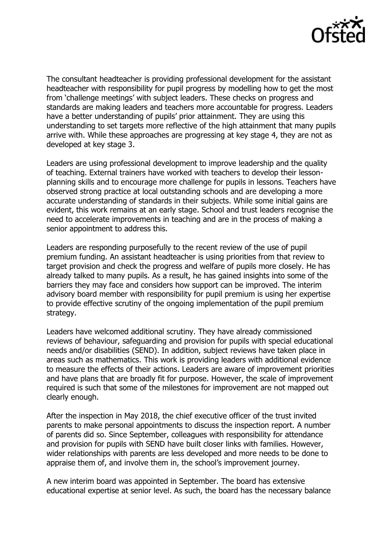

The consultant headteacher is providing professional development for the assistant headteacher with responsibility for pupil progress by modelling how to get the most from 'challenge meetings' with subject leaders. These checks on progress and standards are making leaders and teachers more accountable for progress. Leaders have a better understanding of pupils' prior attainment. They are using this understanding to set targets more reflective of the high attainment that many pupils arrive with. While these approaches are progressing at key stage 4, they are not as developed at key stage 3.

Leaders are using professional development to improve leadership and the quality of teaching. External trainers have worked with teachers to develop their lessonplanning skills and to encourage more challenge for pupils in lessons. Teachers have observed strong practice at local outstanding schools and are developing a more accurate understanding of standards in their subjects. While some initial gains are evident, this work remains at an early stage. School and trust leaders recognise the need to accelerate improvements in teaching and are in the process of making a senior appointment to address this.

Leaders are responding purposefully to the recent review of the use of pupil premium funding. An assistant headteacher is using priorities from that review to target provision and check the progress and welfare of pupils more closely. He has already talked to many pupils. As a result, he has gained insights into some of the barriers they may face and considers how support can be improved. The interim advisory board member with responsibility for pupil premium is using her expertise to provide effective scrutiny of the ongoing implementation of the pupil premium strategy.

Leaders have welcomed additional scrutiny. They have already commissioned reviews of behaviour, safeguarding and provision for pupils with special educational needs and/or disabilities (SEND). In addition, subject reviews have taken place in areas such as mathematics. This work is providing leaders with additional evidence to measure the effects of their actions. Leaders are aware of improvement priorities and have plans that are broadly fit for purpose. However, the scale of improvement required is such that some of the milestones for improvement are not mapped out clearly enough.

After the inspection in May 2018, the chief executive officer of the trust invited parents to make personal appointments to discuss the inspection report. A number of parents did so. Since September, colleagues with responsibility for attendance and provision for pupils with SEND have built closer links with families. However, wider relationships with parents are less developed and more needs to be done to appraise them of, and involve them in, the school's improvement journey.

A new interim board was appointed in September. The board has extensive educational expertise at senior level. As such, the board has the necessary balance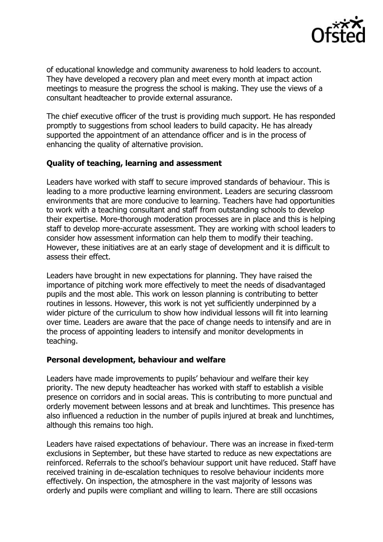

of educational knowledge and community awareness to hold leaders to account. They have developed a recovery plan and meet every month at impact action meetings to measure the progress the school is making. They use the views of a consultant headteacher to provide external assurance.

The chief executive officer of the trust is providing much support. He has responded promptly to suggestions from school leaders to build capacity. He has already supported the appointment of an attendance officer and is in the process of enhancing the quality of alternative provision.

### **Quality of teaching, learning and assessment**

Leaders have worked with staff to secure improved standards of behaviour. This is leading to a more productive learning environment. Leaders are securing classroom environments that are more conducive to learning. Teachers have had opportunities to work with a teaching consultant and staff from outstanding schools to develop their expertise. More-thorough moderation processes are in place and this is helping staff to develop more-accurate assessment. They are working with school leaders to consider how assessment information can help them to modify their teaching. However, these initiatives are at an early stage of development and it is difficult to assess their effect.

Leaders have brought in new expectations for planning. They have raised the importance of pitching work more effectively to meet the needs of disadvantaged pupils and the most able. This work on lesson planning is contributing to better routines in lessons. However, this work is not yet sufficiently underpinned by a wider picture of the curriculum to show how individual lessons will fit into learning over time. Leaders are aware that the pace of change needs to intensify and are in the process of appointing leaders to intensify and monitor developments in teaching.

#### **Personal development, behaviour and welfare**

Leaders have made improvements to pupils' behaviour and welfare their key priority. The new deputy headteacher has worked with staff to establish a visible presence on corridors and in social areas. This is contributing to more punctual and orderly movement between lessons and at break and lunchtimes. This presence has also influenced a reduction in the number of pupils injured at break and lunchtimes, although this remains too high.

Leaders have raised expectations of behaviour. There was an increase in fixed-term exclusions in September, but these have started to reduce as new expectations are reinforced. Referrals to the school's behaviour support unit have reduced. Staff have received training in de-escalation techniques to resolve behaviour incidents more effectively. On inspection, the atmosphere in the vast majority of lessons was orderly and pupils were compliant and willing to learn. There are still occasions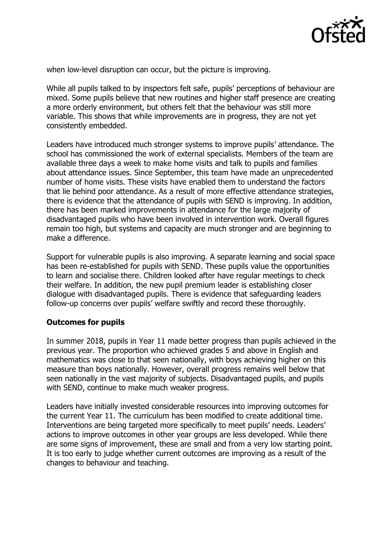

when low-level disruption can occur, but the picture is improving.

While all pupils talked to by inspectors felt safe, pupils' perceptions of behaviour are mixed. Some pupils believe that new routines and higher staff presence are creating a more orderly environment, but others felt that the behaviour was still more variable. This shows that while improvements are in progress, they are not yet consistently embedded.

Leaders have introduced much stronger systems to improve pupils' attendance. The school has commissioned the work of external specialists. Members of the team are available three days a week to make home visits and talk to pupils and families about attendance issues. Since September, this team have made an unprecedented number of home visits. These visits have enabled them to understand the factors that lie behind poor attendance. As a result of more effective attendance strategies, there is evidence that the attendance of pupils with SEND is improving. In addition, there has been marked improvements in attendance for the large majority of disadvantaged pupils who have been involved in intervention work. Overall figures remain too high, but systems and capacity are much stronger and are beginning to make a difference.

Support for vulnerable pupils is also improving. A separate learning and social space has been re-established for pupils with SEND. These pupils value the opportunities to learn and socialise there. Children looked after have regular meetings to check their welfare. In addition, the new pupil premium leader is establishing closer dialogue with disadvantaged pupils. There is evidence that safeguarding leaders follow-up concerns over pupils' welfare swiftly and record these thoroughly.

### **Outcomes for pupils**

In summer 2018, pupils in Year 11 made better progress than pupils achieved in the previous year. The proportion who achieved grades 5 and above in English and mathematics was close to that seen nationally, with boys achieving higher on this measure than boys nationally. However, overall progress remains well below that seen nationally in the vast majority of subjects. Disadvantaged pupils, and pupils with SEND, continue to make much weaker progress.

Leaders have initially invested considerable resources into improving outcomes for the current Year 11. The curriculum has been modified to create additional time. Interventions are being targeted more specifically to meet pupils' needs. Leaders' actions to improve outcomes in other year groups are less developed. While there are some signs of improvement, these are small and from a very low starting point. It is too early to judge whether current outcomes are improving as a result of the changes to behaviour and teaching.